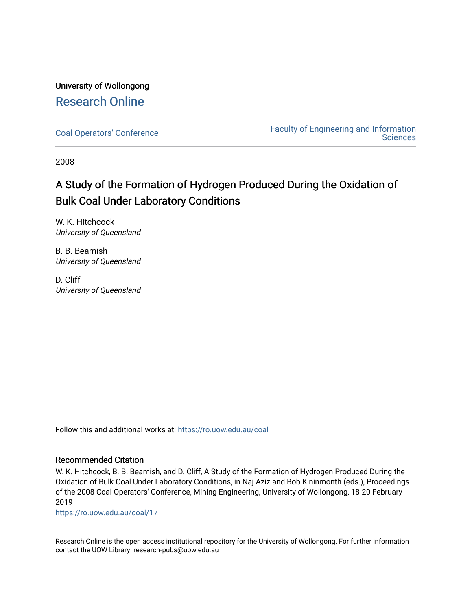## University of Wollongong [Research Online](https://ro.uow.edu.au/)

[Coal Operators' Conference](https://ro.uow.edu.au/coal) [Faculty of Engineering and Information](https://ro.uow.edu.au/eis)  **Sciences** 

2008

# A Study of the Formation of Hydrogen Produced During the Oxidation of Bulk Coal Under Laboratory Conditions

W. K. Hitchcock University of Queensland

B. B. Beamish University of Queensland

D. Cliff University of Queensland

Follow this and additional works at: [https://ro.uow.edu.au/coal](https://ro.uow.edu.au/coal?utm_source=ro.uow.edu.au%2Fcoal%2F17&utm_medium=PDF&utm_campaign=PDFCoverPages) 

## Recommended Citation

W. K. Hitchcock, B. B. Beamish, and D. Cliff, A Study of the Formation of Hydrogen Produced During the Oxidation of Bulk Coal Under Laboratory Conditions, in Naj Aziz and Bob Kininmonth (eds.), Proceedings of the 2008 Coal Operators' Conference, Mining Engineering, University of Wollongong, 18-20 February 2019

[https://ro.uow.edu.au/coal/17](https://ro.uow.edu.au/coal/17?utm_source=ro.uow.edu.au%2Fcoal%2F17&utm_medium=PDF&utm_campaign=PDFCoverPages) 

Research Online is the open access institutional repository for the University of Wollongong. For further information contact the UOW Library: research-pubs@uow.edu.au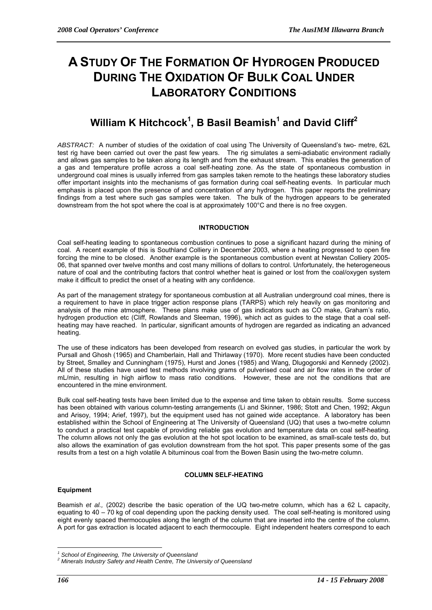# **A STUDY OF THE FORMATION OF HYDROGEN PRODUCED DURING THE OXIDATION OF BULK COAL UNDER LABORATORY CONDITIONS**

# $\textbf{William K Hitchcock}^1\text{, } \textbf{B}$  Basil Beamish $^1$  and David Cliff $^2$

*ABSTRACT:* A number of studies of the oxidation of coal using The University of Queensland's two- metre, 62L test rig have been carried out over the past few years. The rig simulates a semi-adiabatic environment radially and allows gas samples to be taken along its length and from the exhaust stream. This enables the generation of a gas and temperature profile across a coal self-heating zone. As the state of spontaneous combustion in underground coal mines is usually inferred from gas samples taken remote to the heatings these laboratory studies offer important insights into the mechanisms of gas formation during coal self-heating events. In particular much emphasis is placed upon the presence of and concentration of any hydrogen. This paper reports the preliminary findings from a test where such gas samples were taken. The bulk of the hydrogen appears to be generated downstream from the hot spot where the coal is at approximately 100°C and there is no free oxygen.

## **INTRODUCTION**

Coal self-heating leading to spontaneous combustion continues to pose a significant hazard during the mining of coal. A recent example of this is Southland Colliery in December 2003, where a heating progressed to open fire forcing the mine to be closed. Another example is the spontaneous combustion event at Newstan Colliery 2005- 06, that spanned over twelve months and cost many millions of dollars to control. Unfortunately, the heterogeneous nature of coal and the contributing factors that control whether heat is gained or lost from the coal/oxygen system make it difficult to predict the onset of a heating with any confidence.

As part of the management strategy for spontaneous combustion at all Australian underground coal mines, there is a requirement to have in place trigger action response plans (TARPS) which rely heavily on gas monitoring and analysis of the mine atmosphere. These plans make use of gas indicators such as CO make, Graham's ratio, hydrogen production etc (Cliff, Rowlands and Sleeman, 1996), which act as guides to the stage that a coal selfheating may have reached. In particular, significant amounts of hydrogen are regarded as indicating an advanced heating.

The use of these indicators has been developed from research on evolved gas studies, in particular the work by Pursall and Ghosh (1965) and Chamberlain, Hall and Thirlaway (1970). More recent studies have been conducted by Street, Smalley and Cunningham (1975), Hurst and Jones (1985) and Wang, Dlugogorski and Kennedy (2002). All of these studies have used test methods involving grams of pulverised coal and air flow rates in the order of mL/min, resulting in high airflow to mass ratio conditions. However, these are not the conditions that are  $mN$ . encountered in the mine environment.

Bulk coal self-heating tests have been limited due to the expense and time taken to obtain results. Some success has been obtained with various column-testing arrangements (Li and Skinner, 1986; Stott and Chen, 1992; Akgun and Arisoy, 1994; Arief, 1997), but the equipment used has not gained wide acceptance. A laboratory has been established within the School of Engineering at The University of Queensland (UQ) that uses a two-metre column to conduct a practical test capable of providing reliable gas evolution and temperature data on coal self-heating. The column allows not only the gas evolution at the hot spot location to be examined, as small-scale tests do, but also allows the examination of gas evolution downstream from the hot spot. This paper presents some of the gas results from a test on a high volatile A bituminous coal from the Bowen Basin using the two-metre column.

#### **COLUMN SELF-HEATING**

#### **Equipment**

Beamish *et al.,* (2002) describe the basic operation of the UQ two-metre column, which has a 62 L capacity, equating to 40 – 70 kg of coal depending upon the packing density used. The coal self-heating is monitored using eight evenly spaced thermocouples along the length of the column that are inserted into the centre of the column. A port for gas extraction is located adjacent to each thermocouple. Eight independent heaters correspond to each

 $\overline{a}$ 

<sup>&</sup>lt;sup>1</sup> School of Engineering, The University of Queensland<br><sup>2</sup> Minerals Industry Sefety and Health Cantre, The Univ

*Minerals Industry Safety and Health Centre, The University of Queensland*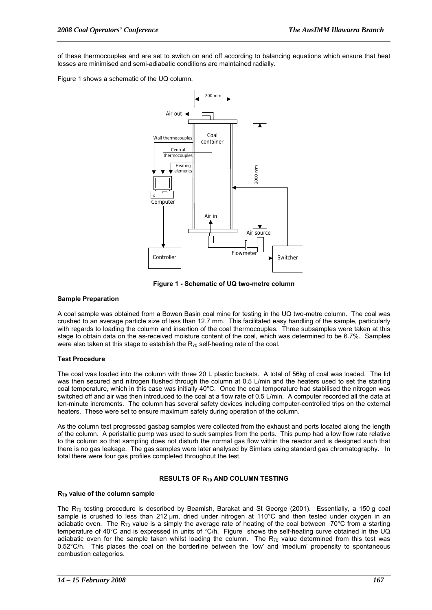of these thermocouples and are set to switch on and off according to balancing equations which ensure that heat losses are minimised and semi-adiabatic conditions are maintained radially.

Figure 1 shows a schematic of the UQ column.



**Figure 1 - Schematic of UQ two-metre column** 

#### **Sample Preparation**

A coal sample was obtained from a Bowen Basin coal mine for testing in the UQ two-metre column. The coal was crushed to an average particle size of less than 12.7 mm. This facilitated easy handling of the sample, particularly with regards to loading the column and insertion of the coal thermocouples. Three subsamples were taken at this stage to obtain data on the as-received moisture content of the coal, which was determined to be 6.7%. Samples were also taken at this stage to establish the  $R_{70}$  self-heating rate of the coal.

#### **Test Procedure**

The coal was loaded into the column with three 20 L plastic buckets. A total of 56kg of coal was loaded. The lid was then secured and nitrogen flushed through the column at 0.5 L/min and the heaters used to set the starting coal temperature, which in this case was initially 40°C. Once the coal temperature had stabilised the nitrogen was switched off and air was then introduced to the coal at a flow rate of 0.5 L/min. A computer recorded all the data at ten-minute increments. The column has several safety devices including computer-controlled trips on the external heaters. These were set to ensure maximum safety during operation of the column.

As the column test progressed gasbag samples were collected from the exhaust and ports located along the length of the column. A peristaltic pump was used to suck samples from the ports. This pump had a low flow rate relative to the column so that sampling does not disturb the normal gas flow within the reactor and is designed such that there is no gas leakage. The gas samples were later analysed by Simtars using standard gas chromatography. In total there were four gas profiles completed throughout the test.

#### **RESULTS OF R70 AND COLUMN TESTING**

#### **R70 value of the column sample**

The  $R_{70}$  testing procedure is described by Beamish, Barakat and St George (2001). Essentially, a 150 g coal sample is crushed to less than 212 μm, dried under nitrogen at 110°C and then tested under oxygen in an adiabatic oven. The  $R_{70}$  value is a simply the average rate of heating of the coal between 70°C from a starting temperature of 40°C and is expressed in units of °C/h. Figure shows the self-heating curve obtained in the UQ adiabatic oven for the sample taken whilst loading the column. The  $R_{70}$  value determined from this test was 0.52°C/h. This places the coal on the borderline between the 'low' and 'medium' propensity to spontaneous combustion categories.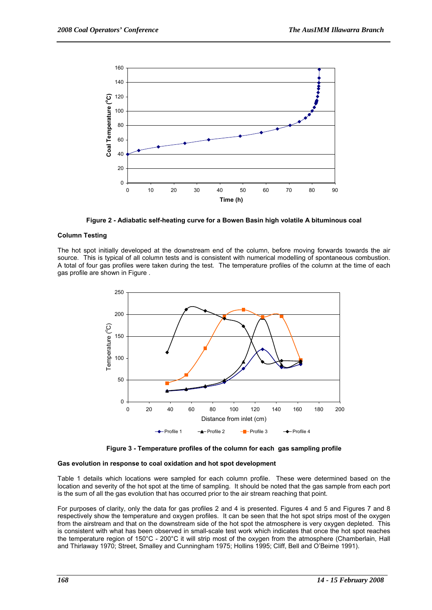

**Figure 2 - Adiabatic self-heating curve for a Bowen Basin high volatile A bituminous coal** 

## **Column Testing**

The hot spot initially developed at the downstream end of the column, before moving forwards towards the air source. This is typical of all column tests and is consistent with numerical modelling of spontaneous combustion. A total of four gas profiles were taken during the test. The temperature profiles of the column at the time of each gas profile are shown in Figure .





#### **Gas evolution in response to coal oxidation and hot spot development**

Table 1 details which locations were sampled for each column profile. These were determined based on the location and severity of the hot spot at the time of sampling. It should be noted that the gas sample from each port is the sum of all the gas evolution that has occurred prior to the air stream reaching that point.

For purposes of clarity, only the data for gas profiles 2 and 4 is presented. Figures 4 and 5 and Figures 7 and 8 respectively show the temperature and oxygen profiles. It can be seen that the hot spot strips most of the oxygen from the airstream and that on the downstream side of the hot spot the atmosphere is very oxygen depleted. This is consistent with what has been observed in small-scale test work which indicates that once the hot spot reaches the temperature region of 150°C - 200°C it will strip most of the oxygen from the atmosphere (Chamberlain, Hall and Thirlaway 1970; Street, Smalley and Cunningham 1975; Hollins 1995; Cliff, Bell and O'Beirne 1991).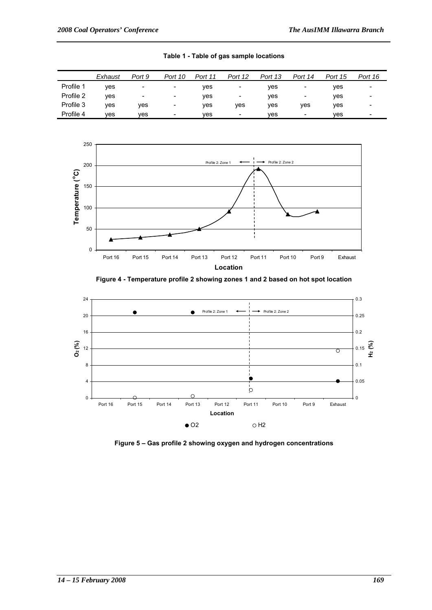|           | Exhaust | Port 9                   | Port 10                  | Port 11 | Port 12                  | Port 13 | Port 14                  | Port 15 | Port 16 |
|-----------|---------|--------------------------|--------------------------|---------|--------------------------|---------|--------------------------|---------|---------|
| Profile 1 | ves     | $\overline{\phantom{a}}$ | -                        | ves     | -                        | ves     | $\overline{\phantom{a}}$ | ves     | -       |
| Profile 2 | ves     | $\overline{\phantom{a}}$ | $\overline{\phantom{a}}$ | ves     | $\overline{\phantom{a}}$ | ves     | -                        | ves     | -       |
| Profile 3 | ves     | ves                      | ٠                        | ves     | ves                      | ves     | ves                      | ves     |         |
| Profile 4 | ves     | ves                      | $\overline{\phantom{a}}$ | ves     | $\overline{\phantom{a}}$ | ves     | $\overline{\phantom{0}}$ | ves     | -       |

**Table 1 - Table of gas sample locations** 



**Figure 4 - Temperature profile 2 showing zones 1 and 2 based on hot spot location** 



**Figure 5 – Gas profile 2 showing oxygen and hydrogen concentrations**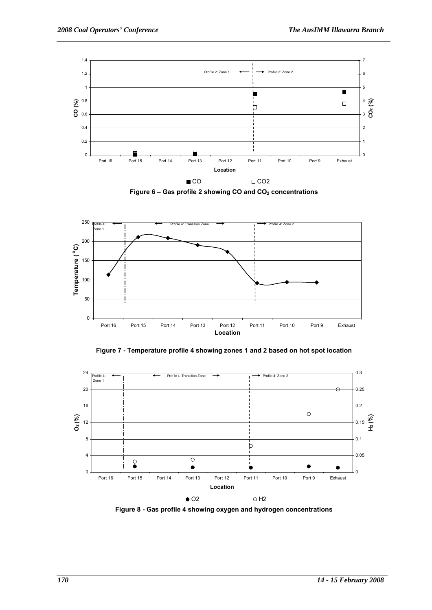









**Figure 8 - Gas profile 4 showing oxygen and hydrogen concentrations**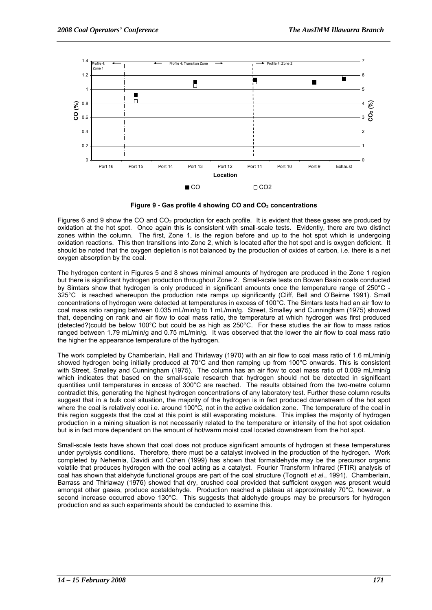

Figure 9 - Gas profile 4 showing CO and CO<sub>2</sub> concentrations

Figures 6 and 9 show the CO and CO<sub>2</sub> production for each profile. It is evident that these gases are produced by oxidation at the hot spot. Once again this is consistent with small-scale tests. Evidently, there are two distinct zones within the column. The first, Zone 1, is the region before and up to the hot spot which is undergoing oxidation reactions. This then transitions into Zone 2, which is located after the hot spot and is oxygen deficient. It should be noted that the oxygen depletion is not balanced by the production of oxides of carbon, i.e. there is a net oxygen absorption by the coal.

The hydrogen content in Figures 5 and 8 shows minimal amounts of hydrogen are produced in the Zone 1 region but there is significant hydrogen production throughout Zone 2. Small-scale tests on Bowen Basin coals conducted by Simtars show that hydrogen is only produced in significant amounts once the temperature range of 250°C - 325°C is reached whereupon the production rate ramps up significantly (Cliff, Bell and O'Beirne 1991). Small concentrations of hydrogen were detected at temperatures in excess of 100°C. The Simtars tests had an air flow to coal mass ratio ranging between 0.035 mL/min/g to 1 mL/min/g. Street, Smalley and Cunningham (1975) showed that, depending on rank and air flow to coal mass ratio, the temperature at which hydrogen was first produced (detected?)could be below 100°C but could be as high as 250°C. For these studies the air flow to mass ratios ranged between 1.79 mL/min/g and 0.75 mL/min/g. It was observed that the lower the air flow to coal mass ratio the higher the appearance temperature of the hydrogen.

The work completed by Chamberlain, Hall and Thirlaway (1970) with an air flow to coal mass ratio of 1.6 mL/min/g showed hydrogen being initially produced at 70°C and then ramping up from 100°C onwards. This is consistent with Street, Smalley and Cunningham (1975). The column has an air flow to coal mass ratio of 0.009 mL/min/g which indicates that based on the small-scale research that hydrogen should not be detected in significant quantities until temperatures in excess of 300°C are reached. The results obtained from the two-metre column contradict this, generating the highest hydrogen concentrations of any laboratory test. Further these column results suggest that in a bulk coal situation, the majority of the hydrogen is in fact produced downstream of the hot spot where the coal is relatively cool i.e. around 100°C, not in the active oxidation zone. The temperature of the coal in this region suggests that the coal at this point is still evaporating moisture. This implies the majority of hydrogen production in a mining situation is not necessarily related to the temperature or intensity of the hot spot oxidation but is in fact more dependent on the amount of hot/warm moist coal located downstream from the hot spot.

Small-scale tests have shown that coal does not produce significant amounts of hydrogen at these temperatures under pyrolysis conditions. Therefore, there must be a catalyst involved in the production of the hydrogen. Work completed by Nehemia, Davidi and Cohen (1999) has shown that formaldehyde may be the precursor organic volatile that produces hydrogen with the coal acting as a catalyst. Fourier Transform Infrared (FTIR) analysis of coal has shown that aldehyde functional groups are part of the coal structure (Tognotti *et al*., 1991). Chamberlain, Barrass and Thirlaway (1976) showed that dry, crushed coal provided that sufficient oxygen was present would amongst other gases, produce acetaldehyde. Production reached a plateau at approximately 70°C, however, a second increase occurred above 130°C. This suggests that aldehyde groups may be precursors for hydrogen production and as such experiments should be conducted to examine this.